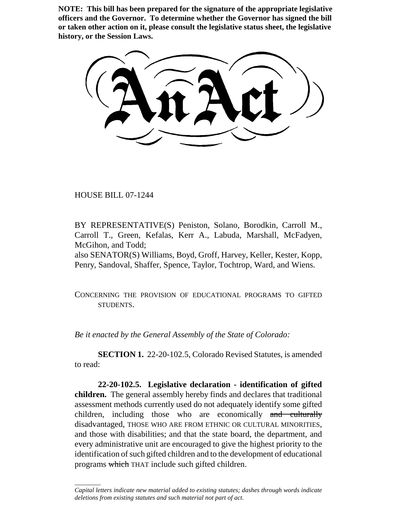**NOTE: This bill has been prepared for the signature of the appropriate legislative officers and the Governor. To determine whether the Governor has signed the bill or taken other action on it, please consult the legislative status sheet, the legislative history, or the Session Laws.**

HOUSE BILL 07-1244

 $\overline{\phantom{a}}$ 

BY REPRESENTATIVE(S) Peniston, Solano, Borodkin, Carroll M., Carroll T., Green, Kefalas, Kerr A., Labuda, Marshall, McFadyen, McGihon, and Todd;

also SENATOR(S) Williams, Boyd, Groff, Harvey, Keller, Kester, Kopp, Penry, Sandoval, Shaffer, Spence, Taylor, Tochtrop, Ward, and Wiens.

CONCERNING THE PROVISION OF EDUCATIONAL PROGRAMS TO GIFTED STUDENTS.

*Be it enacted by the General Assembly of the State of Colorado:*

**SECTION 1.** 22-20-102.5, Colorado Revised Statutes, is amended to read:

**22-20-102.5. Legislative declaration - identification of gifted children.** The general assembly hereby finds and declares that traditional assessment methods currently used do not adequately identify some gifted children, including those who are economically and culturally disadvantaged, THOSE WHO ARE FROM ETHNIC OR CULTURAL MINORITIES, and those with disabilities; and that the state board, the department, and every administrative unit are encouraged to give the highest priority to the identification of such gifted children and to the development of educational programs which THAT include such gifted children.

*Capital letters indicate new material added to existing statutes; dashes through words indicate deletions from existing statutes and such material not part of act.*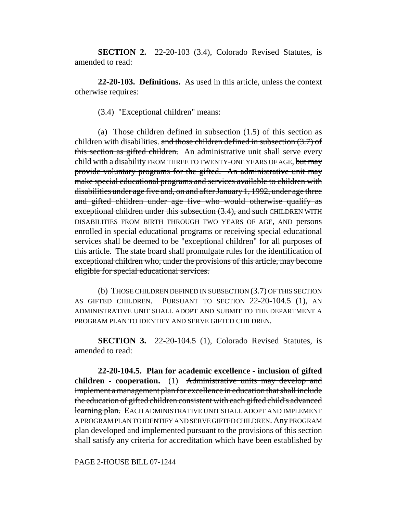**SECTION 2.** 22-20-103 (3.4), Colorado Revised Statutes, is amended to read:

**22-20-103. Definitions.** As used in this article, unless the context otherwise requires:

(3.4) "Exceptional children" means:

(a) Those children defined in subsection (1.5) of this section as children with disabilities. and those children defined in subsection  $(3.7)$  of this section as gifted children. An administrative unit shall serve every child with a disability FROM THREE TO TWENTY-ONE YEARS OF AGE, but may provide voluntary programs for the gifted. An administrative unit may make special educational programs and services available to children with disabilities under age five and, on and after January 1, 1992, under age three and gifted children under age five who would otherwise qualify as exceptional children under this subsection (3.4), and such CHILDREN WITH DISABILITIES FROM BIRTH THROUGH TWO YEARS OF AGE, AND persons enrolled in special educational programs or receiving special educational services shall be deemed to be "exceptional children" for all purposes of this article. The state board shall promulgate rules for the identification of exceptional children who, under the provisions of this article, may become eligible for special educational services.

(b) THOSE CHILDREN DEFINED IN SUBSECTION (3.7) OF THIS SECTION AS GIFTED CHILDREN. PURSUANT TO SECTION 22-20-104.5 (1), AN ADMINISTRATIVE UNIT SHALL ADOPT AND SUBMIT TO THE DEPARTMENT A PROGRAM PLAN TO IDENTIFY AND SERVE GIFTED CHILDREN.

**SECTION 3.** 22-20-104.5 (1), Colorado Revised Statutes, is amended to read:

**22-20-104.5. Plan for academic excellence - inclusion of gifted children - cooperation.** (1) Administrative units may develop and implement a management plan for excellence in education that shall include the education of gifted children consistent with each gifted child's advanced learning plan. EACH ADMINISTRATIVE UNIT SHALL ADOPT AND IMPLEMENT A PROGRAM PLAN TO IDENTIFY AND SERVE GIFTED CHILDREN. Any PROGRAM plan developed and implemented pursuant to the provisions of this section shall satisfy any criteria for accreditation which have been established by

PAGE 2-HOUSE BILL 07-1244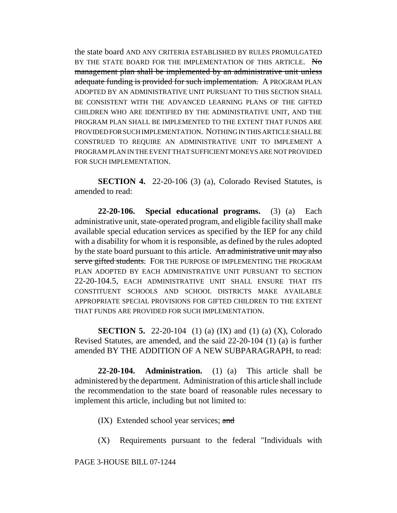the state board AND ANY CRITERIA ESTABLISHED BY RULES PROMULGATED BY THE STATE BOARD FOR THE IMPLEMENTATION OF THIS ARTICLE. No management plan shall be implemented by an administrative unit unless adequate funding is provided for such implementation. A PROGRAM PLAN ADOPTED BY AN ADMINISTRATIVE UNIT PURSUANT TO THIS SECTION SHALL BE CONSISTENT WITH THE ADVANCED LEARNING PLANS OF THE GIFTED CHILDREN WHO ARE IDENTIFIED BY THE ADMINISTRATIVE UNIT, AND THE PROGRAM PLAN SHALL BE IMPLEMENTED TO THE EXTENT THAT FUNDS ARE PROVIDED FOR SUCH IMPLEMENTATION. NOTHING IN THIS ARTICLE SHALL BE CONSTRUED TO REQUIRE AN ADMINISTRATIVE UNIT TO IMPLEMENT A PROGRAM PLAN IN THE EVENT THAT SUFFICIENT MONEYS ARE NOT PROVIDED FOR SUCH IMPLEMENTATION.

**SECTION 4.** 22-20-106 (3) (a), Colorado Revised Statutes, is amended to read:

**22-20-106. Special educational programs.** (3) (a) Each administrative unit, state-operated program, and eligible facility shall make available special education services as specified by the IEP for any child with a disability for whom it is responsible, as defined by the rules adopted by the state board pursuant to this article. An administrative unit may also serve gifted students. FOR THE PURPOSE OF IMPLEMENTING THE PROGRAM PLAN ADOPTED BY EACH ADMINISTRATIVE UNIT PURSUANT TO SECTION 22-20-104.5, EACH ADMINISTRATIVE UNIT SHALL ENSURE THAT ITS CONSTITUENT SCHOOLS AND SCHOOL DISTRICTS MAKE AVAILABLE APPROPRIATE SPECIAL PROVISIONS FOR GIFTED CHILDREN TO THE EXTENT THAT FUNDS ARE PROVIDED FOR SUCH IMPLEMENTATION.

**SECTION 5.** 22-20-104 (1) (a) (IX) and (1) (a) (X), Colorado Revised Statutes, are amended, and the said 22-20-104 (1) (a) is further amended BY THE ADDITION OF A NEW SUBPARAGRAPH, to read:

**22-20-104. Administration.** (1) (a) This article shall be administered by the department. Administration of this article shall include the recommendation to the state board of reasonable rules necessary to implement this article, including but not limited to:

(IX) Extended school year services; and

(X) Requirements pursuant to the federal "Individuals with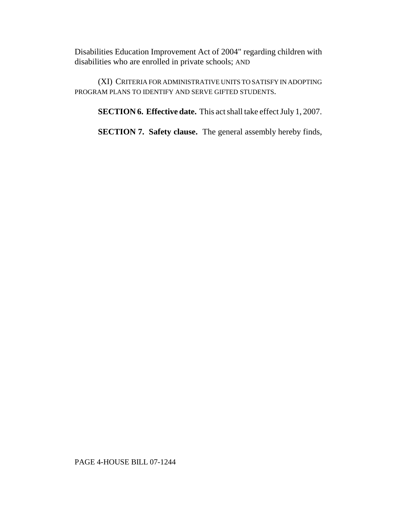Disabilities Education Improvement Act of 2004" regarding children with disabilities who are enrolled in private schools; AND

(XI) CRITERIA FOR ADMINISTRATIVE UNITS TO SATISFY IN ADOPTING PROGRAM PLANS TO IDENTIFY AND SERVE GIFTED STUDENTS.

**SECTION 6. Effective date.** This act shall take effect July 1, 2007.

**SECTION 7. Safety clause.** The general assembly hereby finds,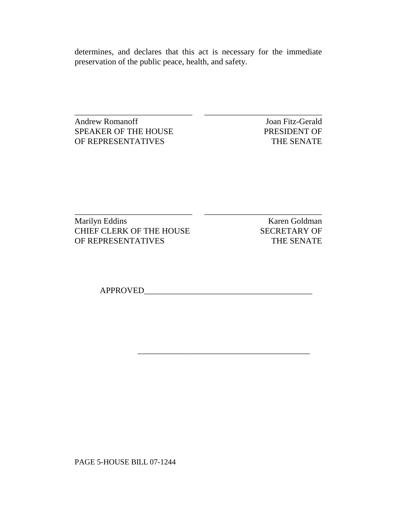determines, and declares that this act is necessary for the immediate preservation of the public peace, health, and safety.

\_\_\_\_\_\_\_\_\_\_\_\_\_\_\_\_\_\_\_\_\_\_\_\_\_\_\_\_ \_\_\_\_\_\_\_\_\_\_\_\_\_\_\_\_\_\_\_\_\_\_\_\_\_\_\_\_

 $\overline{\phantom{a}}$  , and the set of the set of the set of the set of the set of the set of the set of the set of the set of the set of the set of the set of the set of the set of the set of the set of the set of the set of the s

\_\_\_\_\_\_\_\_\_\_\_\_\_\_\_\_\_\_\_\_\_\_\_\_\_\_\_\_ \_\_\_\_\_\_\_\_\_\_\_\_\_\_\_\_\_\_\_\_\_\_\_\_\_\_\_\_ Andrew Romanoff Joan Fitz-Gerald SPEAKER OF THE HOUSE PRESIDENT OF OF REPRESENTATIVES THE SENATE

Marilyn Eddins Karen Goldman CHIEF CLERK OF THE HOUSE SECRETARY OF OF REPRESENTATIVES THE SENATE

APPROVED\_\_\_\_\_\_\_\_\_\_\_\_\_\_\_\_\_\_\_\_\_\_\_\_\_\_\_\_\_\_\_\_\_\_\_\_\_\_\_\_

PAGE 5-HOUSE BILL 07-1244